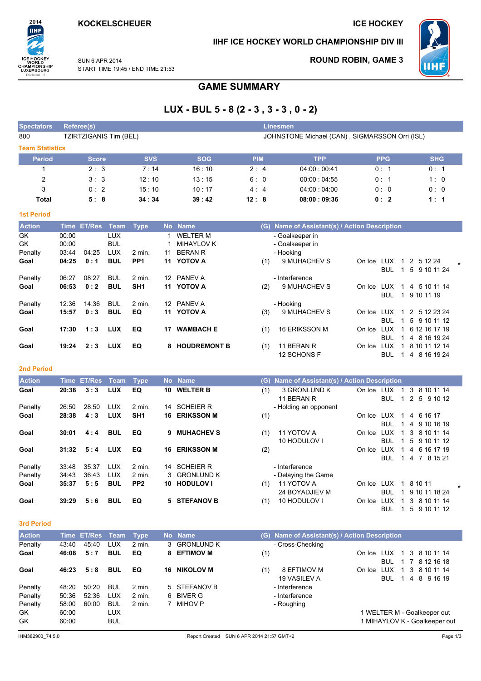# **ICE HOCKEY**

### IIHF ICE HOCKEY WORLD CHAMPIONSHIP DIV III



**ROUND ROBIN, GAME 3** 

SUN 6 APR 2014 START TIME 19:45 / END TIME 21:53

# **GAME SUMMARY**

# LUX - BUL 5 - 8 (2 - 3, 3 - 3, 0 - 2)

| <b>Spectators</b>      | Referee(s)             |            |            | <b>Linesmen</b> |                                                |            |            |
|------------------------|------------------------|------------|------------|-----------------|------------------------------------------------|------------|------------|
| 800                    | TZIRTZIGANIS Tim (BEL) |            |            |                 | JOHNSTONE Michael (CAN), SIGMARSSON Orri (ISL) |            |            |
| <b>Team Statistics</b> |                        |            |            |                 |                                                |            |            |
| <b>Period</b>          | <b>Score</b>           | <b>SVS</b> | <b>SOG</b> | <b>PIM</b>      | <b>TPP</b>                                     | <b>PPG</b> | <b>SHG</b> |
|                        | 2:3                    | 7:14       | 16:10      | 2:4             | 04:00:00:41                                    | 0:1        | 0:1        |
| 2                      | 3:3                    | 12:10      | 13:15      | 6:0             | 00:00:04:55                                    | 0:1        | 1:0        |
| 3                      | 0:2                    | 15:10      | 10:17      | 4:4             | 04:00:04:00                                    | 0:0        | 0:0        |
| Total                  | 5:8                    | 34:34      | 39:42      | 12:8            | 08:00:09:36                                    | 0:2        | 1:1        |

| ___ | $\sim$ | - 3<br>٠. |  |
|-----|--------|-----------|--|

2014

**IIHF** 

ICE HOCKEY<br>
WORLD<br>
CHAMPIONSHIP<br>
LUXEMBOURG<br>
Division III

| <b>Action</b> | Time  | <b>ET/Res</b> | Team       | Type              | <b>No</b> | <b>Name</b>         | (G) | Name of Assistant(s) / Action Description |        |                  |                 |  |
|---------------|-------|---------------|------------|-------------------|-----------|---------------------|-----|-------------------------------------------|--------|------------------|-----------------|--|
| <b>GK</b>     | 00:00 |               | <b>LUX</b> |                   |           | <b>WELTER M</b>     |     | - Goalkeeper in                           |        |                  |                 |  |
| <b>GK</b>     | 00:00 |               | <b>BUL</b> |                   |           | MIHAYLOV K          |     | - Goalkeeper in                           |        |                  |                 |  |
| Penalty       | 03:44 | 04:25         | <b>LUX</b> | 2 min.            | 11        | <b>BERAN R</b>      |     | - Hooking                                 |        |                  |                 |  |
| Goal          | 04:25 | 0:1           | BUL        | PP <sub>1</sub>   | 11        | <b>YOTOV A</b>      | (1) | 9 MUHACHEV S                              | On Ice | LUX<br>1.        | 2 5 1 2 2 4     |  |
|               |       |               |            |                   |           |                     |     |                                           |        | <b>BUL</b>       | 5 9 10 11 24    |  |
| Penalty       | 06:27 | 08:27         | <b>BUL</b> | $2 \text{ min}$ . |           | 12 PANEV A          |     | - Interference                            |        |                  |                 |  |
| Goal          | 06:53 | 0:2           | <b>BUL</b> | SH <sub>1</sub>   | 11        | <b>YOTOV A</b>      | (2) | 9 MUHACHEV S                              | On Ice | <b>LUX</b><br>1. | 5 10 11 14<br>4 |  |
|               |       |               |            |                   |           |                     |     |                                           |        | <b>BUL</b><br>1. | 9 10 11 19      |  |
| Penalty       | 12:36 | 14:36         | <b>BUL</b> | $2$ min.          |           | 12 PANEV A          |     | - Hooking                                 |        |                  |                 |  |
| Goal          | 15:57 | 0:3           | <b>BUL</b> | EQ                | 11        | <b>YOTOV A</b>      | (3) | 9 MUHACHEV S                              | On Ice | LUX<br>1.        | 2 5 12 23 24    |  |
|               |       |               |            |                   |           |                     |     |                                           |        | BUL              | 5 9 10 11 12    |  |
| Goal          | 17:30 | 1:3           | <b>LUX</b> | EQ                | 17        | <b>WAMBACH E</b>    | (1) | 16 ERIKSSON M                             | On Ice | LUX              | 6 12 16 17 19   |  |
|               |       |               |            |                   |           |                     |     |                                           |        | <b>BUL</b><br>1. | 4 8 16 19 24    |  |
| Goal          | 19:24 | 2:3           | <b>LUX</b> | EQ                | 8         | <b>HOUDREMONT B</b> | (1) | 11 BERAN R                                | On Ice | LUX              | 8 10 11 12 14   |  |
|               |       |               |            |                   |           |                     |     | 12 SCHONS F                               |        | BUL              | 4 8 16 19 24    |  |

### 2nd Period

| <b>Action</b> | Time  | <b>ET/Res</b> | Team       | Type              |     | No Name           |     | (G) Name of Assistant(s) / Action Description |        |            |           |               |  |
|---------------|-------|---------------|------------|-------------------|-----|-------------------|-----|-----------------------------------------------|--------|------------|-----------|---------------|--|
| Goal          | 20:38 | 3:3           | <b>LUX</b> | EQ                | 10. | <b>WELTER B</b>   | (1) | 3 GRONLUND K                                  | On Ice | LUX        |           | 3 8 10 11 14  |  |
|               |       |               |            |                   |     |                   |     | 11 BERAN R                                    |        | <b>BUL</b> | $1\quad2$ | 5 9 10 12     |  |
| Penalty       | 26:50 | 28:50         | <b>LUX</b> | $2 \text{ min}$ . | 14  | <b>SCHEIER R</b>  |     | - Holding an opponent                         |        |            |           |               |  |
| Goal          | 28:38 | 4:3           | <b>LUX</b> | SH <sub>1</sub>   | 16  | <b>ERIKSSON M</b> | (1) |                                               | On Ice | LUX        |           | 4 6 16 17     |  |
|               |       |               |            |                   |     |                   |     |                                               |        | <b>BUL</b> |           | 4 9 10 16 19  |  |
| Goal          | 30:01 | 4:4           | <b>BUL</b> | EQ                | 9   | <b>MUHACHEV S</b> | (1) | 11 YOTOV A                                    | On Ice | LUX        |           | 3 8 10 11 14  |  |
|               |       |               |            |                   |     |                   |     | 10 HODULOV I                                  |        | BUL.       |           | 5 9 10 11 12  |  |
| Goal          | 31:32 | 5:4           | <b>LUX</b> | EQ                | 16. | <b>ERIKSSON M</b> | (2) |                                               | On Ice | LUX        |           | 4 6 16 17 19  |  |
|               |       |               |            |                   |     |                   |     |                                               |        | BUL.       |           | 1 4 7 8 15 21 |  |
| Penalty       | 33:48 | 35:37         | LUX        | $2$ min.          |     | 14 SCHEIER R      |     | - Interference                                |        |            |           |               |  |
| Penalty       | 34:43 | 36:43         | <b>LUX</b> | $2 \text{ min}$ . |     | 3 GRONLUND K      |     | - Delaying the Game                           |        |            |           |               |  |
| Goal          | 35:37 | 5:5           | <b>BUL</b> | PP <sub>2</sub>   | 10. | <b>HODULOV I</b>  | (1) | 11 YOTOV A                                    | On Ice | LUX        |           | 8 10 11       |  |
|               |       |               |            |                   |     |                   |     | 24 BOYADJIEV M                                |        | BUL.       |           | 9 10 11 18 24 |  |
| Goal          | 39:29 | 5:6           | <b>BUL</b> | EQ                |     | 5 STEFANOV B      | (1) | 10 HODULOV I                                  | On Ice | LUX        | 3         | 8 10 11 14    |  |
|               |       |               |            |                   |     |                   |     |                                               |        | BUL        |           | 5 9 10 11 12  |  |

#### 3rd Period

| <b>Action</b> | Time  | <b>ET/Res</b> Team |            | Type              | <b>No</b> | <b>Name</b>      | (G) | Name of Assistant(s) / Action Description |                               |     |   |  |              |  |
|---------------|-------|--------------------|------------|-------------------|-----------|------------------|-----|-------------------------------------------|-------------------------------|-----|---|--|--------------|--|
| Penalty       | 43:40 | 45:40              | LUX        | 2 min.            |           | 3 GRONLUND K     |     | - Cross-Checking                          |                               |     |   |  |              |  |
| Goal          | 46:08 | 5:7                | <b>BUL</b> | EQ                | 8.        | <b>EFTIMOV M</b> | (1) |                                           | On Ice                        | LUX | 1 |  | 3 8 10 11 14 |  |
|               |       |                    |            |                   |           |                  |     |                                           |                               | BUL |   |  | 7 8 12 16 18 |  |
| Goal          | 46:23 | 5:8                | <b>BUL</b> | EQ                | 16        | <b>NIKOLOV M</b> | (1) | 8 EFTIMOV M                               | On Ice                        | LUX |   |  | 3 8 10 11 14 |  |
|               |       |                    |            |                   |           |                  |     | 19 VASILEV A                              |                               | BUL |   |  | 4 8 9 16 19  |  |
| Penalty       | 48:20 | 50:20              | <b>BUL</b> | $2 \text{ min}$ . |           | 5 STEFANOV B     |     | - Interference                            |                               |     |   |  |              |  |
| Penalty       | 50:36 | 52:36              | <b>LUX</b> | $2 \text{ min}$ . |           | 6 BIVER G        |     | - Interference                            |                               |     |   |  |              |  |
| Penalty       | 58:00 | 60:00              | <b>BUL</b> | 2 min.            |           | MIHOV P          |     | - Roughing                                |                               |     |   |  |              |  |
| GK.           | 60:00 |                    | LUX        |                   |           |                  |     |                                           | 1 WELTER M - Goalkeeper out   |     |   |  |              |  |
| GK            | 60:00 |                    | <b>BUL</b> |                   |           |                  |     |                                           | 1 MIHAYLOV K - Goalkeeper out |     |   |  |              |  |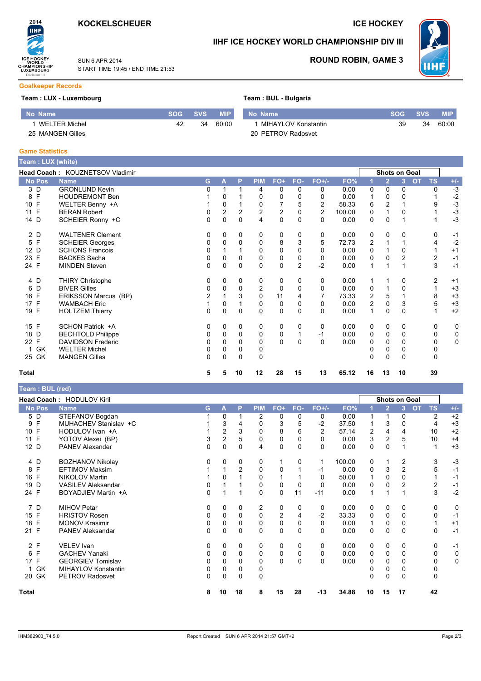

START TIME 19:45 / END TIME 21:53

SUN 6 APR 2014

## **ICE HOCKEY**

# IIHF ICE HOCKEY WORLD CHAMPIONSHIP DIV III



**ROUND ROBIN, GAME 3** 

#### **Goalkeeper Records**

2014

**IIHF** 

ICE HOCKEY<br>
WORLD<br>CHAMPIONSHIP<br>
LUXEMBOURG<br>
Division III

### Team: LUX - Luxembourg

### Team : BUL - Bulgaria

| No Name          | 'SOG . | <b>SVS</b> | <b>MIP</b> | No Name  |
|------------------|--------|------------|------------|----------|
| 1 WELTER Michel  | 42     | 34         | 60.00      | 1 MIHAY  |
| 25 MANGEN Gilles |        |            |            | 20 PETRO |

| No Name               | <b>SOG</b> | SVS \ |       |
|-----------------------|------------|-------|-------|
| 1 MIHAYLOV Konstantin | 39         | 34    | 60:00 |
| 20 PETROV Radosvet    |            |       |       |

#### **Game Statistics**

| Геаm : LUX (white) |                                 |              |          |              |                |             |                |                |        |    |                |                      |                        |   |              |
|--------------------|---------------------------------|--------------|----------|--------------|----------------|-------------|----------------|----------------|--------|----|----------------|----------------------|------------------------|---|--------------|
|                    | Head Coach: KOUZNETSOV Vladimir |              |          |              |                |             |                |                |        |    |                | <b>Shots on Goal</b> |                        |   |              |
| <b>No Pos</b>      | <b>Name</b>                     | G.           | A        | P            | <b>PIM</b>     | FO+         | FO-            | $FO+/-$        | FO%    |    | $\overline{2}$ | 3                    | <b>TS</b><br><b>OT</b> |   | $+/-$        |
| 3 D                | <b>GRONLUND Kevin</b>           | 0            |          | 1            | 4              | 0           | 0              | 0              | 0.00   | 0  | 0              | 0                    |                        | 0 | $-3$         |
| 8 F                | <b>HOUDREMONT Ben</b>           |              | 0        |              | 0              | 0           | 0              | 0              | 0.00   |    | 0              | O                    |                        |   |              |
| 10 F               | WELTER Benny +A                 |              | 0        |              | 0              | 7           | 5              | $\overline{2}$ | 58.33  | 6  | $\overline{2}$ |                      |                        | 9 | $-2$<br>$-3$ |
| 11 F               | <b>BERAN Robert</b>             | 0            | 2        | 2            | $\overline{c}$ | 2           | 0              | $\overline{2}$ | 100.00 | 0  |                | 0                    |                        |   | $-3$         |
| 14 D               | SCHEIER Ronny +C                | 0            | 0        | 0            | 4              | 0           | $\Omega$       | 0              | 0.00   | 0  | 0              |                      |                        |   | $-3$         |
| 2 D                | <b>WALTENER Clement</b>         | 0            | 0        | 0            | 0              | 0           | 0              | 0              | 0.00   | 0  | 0              | 0                    |                        | 0 | $-1$         |
| 5 F                | <b>SCHEIER Georges</b>          | 0            | 0        | $\mathbf 0$  | 0              | 8           | 3              | 5              | 72.73  | 2  |                |                      |                        | 4 | $-2$         |
| 12 D               | <b>SCHONS Francois</b>          | 0            |          |              | $\mathbf 0$    | $\mathbf 0$ | 0              | 0              | 0.00   | 0  |                | 0                    |                        |   | $+1$         |
| 23 F               | <b>BACKES Sacha</b>             | 0            | 0        | $\Omega$     | $\Omega$       | 0           | $\Omega$       | 0              | 0.00   | 0  | $\Omega$       | 2                    |                        | 2 | $-1$         |
| 24 F               | <b>MINDEN Steven</b>            | $\mathbf{0}$ | 0        | $\Omega$     | $\mathbf 0$    | 0           | $\overline{2}$ | $-2$           | 0.00   | 1  |                |                      |                        | 3 | $-1$         |
| 4 D                | <b>THIRY Christophe</b>         | 0            | 0        | 0            | 0              | 0           | 0              | 0              | 0.00   |    |                | 0                    |                        | 2 | $+1$         |
| 6 D                | <b>BIVER Gilles</b>             | 0            | 0        | 0            | $\overline{2}$ | 0           | 0              | 0              | 0.00   | 0  |                | 0                    |                        |   | $+3$         |
| 16 F               | ERIKSSON Marcus (BP)            | 2            |          | 3            | 0              | 11          | 4              |                | 73.33  | 2  | 5              |                      |                        | 8 | $^{\rm +3}$  |
| 17 F               | <b>WAMBACH Eric</b>             |              | $\Omega$ |              | $\mathbf 0$    | $\mathbf 0$ | $\Omega$       | 0              | 0.00   | 2  | $\Omega$       | 3                    |                        | 5 | $+3$         |
| 19 F               | <b>HOLTZEM Thierry</b>          | 0            | 0        | $\Omega$     | 0              | 0           | $\Omega$       | 0              | 0.00   | 1  | $\Omega$       | 0                    |                        |   | $+2$         |
| 15 F               | SCHON Patrick +A                | 0            | 0        | 0            | 0              | 0           | $\Omega$       | 0              | 0.00   | 0  | 0              | 0                    |                        | 0 | 0            |
| 18 D               | <b>BECHTOLD Philippe</b>        | 0            | 0        | 0            | 0              | 0           |                | -1             | 0.00   | 0  | 0              | 0                    |                        | 0 | $\mathsf 0$  |
| 22 F               | <b>DAVIDSON Frederic</b>        | 0            | 0        | $\Omega$     | 0              | 0           | $\Omega$       | 0              | 0.00   | 0  | $\Omega$       | 0                    |                        | 0 | 0            |
| GK                 | <b>WELTER Michel</b>            | 0            | 0        | 0            | 0              |             |                |                |        |    | 0              | 0                    |                        | 0 |              |
| 25 GK              | <b>MANGEN Gilles</b>            | 0            | 0        | $\mathbf{0}$ | $\Omega$       |             |                |                |        | 0  | $\Omega$       | 0                    |                        | 0 |              |
| Total              |                                 | 5            | 5        | 10           | 12             | 28          | 15             | 13             | 65.12  | 16 | 13             | 10                   | 39                     |   |              |

### Team : BUL (red)

|               | Head Coach: HODULOV Kiril |          |          |             |            |                |          |                |        | <b>Shots on Goal</b> |             |                |                        |             |
|---------------|---------------------------|----------|----------|-------------|------------|----------------|----------|----------------|--------|----------------------|-------------|----------------|------------------------|-------------|
| <b>No Pos</b> | <b>Name</b>               | G.       | A        | P           | <b>PIM</b> | FO+            | FO-      | $FO+/-$        | FO%    |                      | 2           | 3              | <b>OT</b><br><b>TS</b> | $+/-$       |
| 5 D           | STEFANOV Bogdan           |          | 0        |             | 2          | 0              | 0        | 0              | 0.00   |                      |             | 0              | $\overline{c}$         | $+2$        |
| E<br>9        | MUHACHEV Stanislav +C     |          | 3        | 4           | 0          | 3              | 5        | $-2$           | 37.50  |                      | 3           | 0              | 4                      | $+3$        |
| E<br>10       | HODULOV Ivan +A           |          | 2        | 3           | $\Omega$   | 8              | 6        | $\overline{2}$ | 57.14  | $\overline{2}$       | 4           | 4              | 10                     | $+2$        |
| 11 F          | YOTOV Alexei (BP)         | 3        | 2        | 5           | 0          | 0              | 0        | 0              | 0.00   | 3                    | 2           | 5              | 10                     | $+4$        |
| 12 D          | <b>PANEV Alexander</b>    | 0        | 0        | $\mathbf 0$ | 4          | 0              | 0        | 0              | 0.00   | 0                    | $\mathbf 0$ |                | $\mathbf 1$            | $+3$        |
| 4 D           | <b>BOZHANOV Nikolay</b>   |          | 0        | $\Omega$    | 0          |                | 0        | 1              | 100.00 | 0                    |             | 2              | 3                      | $-3$        |
| E<br>8        | <b>EFTIMOV Maksim</b>     |          |          | 2           | 0          | $\Omega$       |          | $-1$           | 0.00   | 0                    | 3           | $\overline{2}$ | 5                      | $-1$        |
| 16 F          | <b>NIKOLOV Martin</b>     |          | 0        |             | 0          |                |          | 0              | 50.00  |                      | 0           | 0              |                        | $-1$        |
| D<br>19       | <b>VASILEV Aleksandar</b> |          |          |             | 0          | 0              | 0        | 0              | 0.00   | 0                    | 0           | 2              | $\overline{c}$         | $-1$        |
| 24 F          | BOYADJIEV Martin +A       | 0        |          |             | $\Omega$   | $\Omega$       | 11       | $-11$          | 0.00   |                      |             |                | 3                      | $-2$        |
| 7 D           | <b>MIHOV Petar</b>        | 0        | $\Omega$ | $\Omega$    | 2          | 0              | $\Omega$ | 0              | 0.00   | 0                    | 0           | 0              | 0                      | $\Omega$    |
| 15 F          | <b>HRISTOV Rosen</b>      |          | 0        | $\Omega$    | 0          | $\overline{2}$ | 4        | $-2$           | 33.33  | 0                    | 0           | 0              | $\Omega$               | $-1$        |
| 18 F          | <b>MONOV Krasimir</b>     | 0        | 0        | 0           | 0          | 0              | 0        | 0              | 0.00   |                      | 0           | 0              | 1                      | $+1$        |
| 21 F          | <b>PANEV Aleksandar</b>   | $\Omega$ | $\Omega$ | $\Omega$    | $\Omega$   | 0              | $\Omega$ | 0              | 0.00   | $\Omega$             | $\Omega$    | $\Omega$       | $\Omega$               | $-1$        |
| 2 F           | <b>VELEV Ivan</b>         | 0        | 0        | 0           | 0          | 0              | 0        | 0              | 0.00   | 0                    | 0           | 0              | 0                      | $-1$        |
| E<br>6        | <b>GACHEV Yanaki</b>      | 0        | 0        | $\Omega$    | 0          | 0              | 0        | 0              | 0.00   | 0                    | 0           | 0              | 0                      | 0           |
| 17 F          | <b>GEORGIEV Tomislav</b>  |          | 0        | $\Omega$    | 0          | 0              | $\Omega$ | 0              | 0.00   | 0                    | 0           |                | 0                      | $\mathbf 0$ |
| GK            | MIHAYLOV Konstantin       | 0        | 0        | $\Omega$    | 0          |                |          |                |        |                      | 0           | <sup>0</sup>   | 0                      |             |
| GK<br>20      | PETROV Radosvet           | 0        | $\Omega$ | $\Omega$    | 0          |                |          |                |        | 0                    | 0           | $\Omega$       | 0                      |             |
| Total         |                           |          | 10       | 18          | 8          | 15             | 28       | -13            | 34.88  | 10                   | 15          | 17             | 42                     |             |